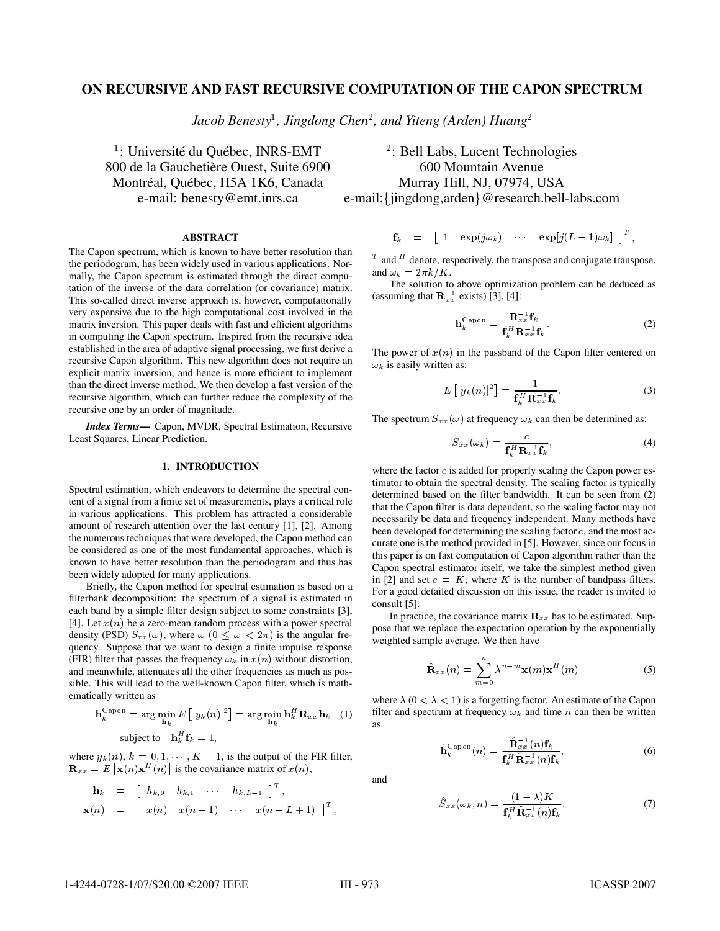# **ON RECURSIVE AND FAST RECURSIVE COMPUTATION OF THE CAPON SPECTRUM**

Jacob Benesty<sup>1</sup>, Jingdong Chen<sup>2</sup>, and Yiteng (Arden) Huang<sup>2</sup>

<sup>1</sup>: Université du Québec, INRS-EMT  $1$ <sup>2</sup> 800 de la Gauchetière Ouest, Suite 6900 600 Mountain Avenue Montréal, Québec, H5A 1K6, Canada Murray Hill, NJ, 07974, USA e-mail: benesty@emt.inrs.ca

**ABSTRACT**

The Capon spectrum, which is known to have better resolution than the periodogram, has been widely used in various applications. Normally, the Capon spectrum is estimated through the direct computation of the inverse of the data correlation (or covariance) matrix. This so-called direct inverse approach is, however, computationally very expensive due to the high computational cost involved in the matrix inversion. This paper deals with fast and efficient algorithms in computing the Capon spectrum. Inspired from the recursive idea established in the area of adaptive signal processing, we first derive a recursive Capon algorithm. This new algorithm does not require an explicit matrix inversion, and hence is more efficient to implement than the direct inverse method. We then develop a fast version of the recursive algorithm, which can further reduce the complexity of the recursive one by an order of magnitude.

*Index Terms***—** Capon, MVDR, Spectral Estimation, Recursive Least Squares, Linear Prediction.

# **1. INTRODUCTION**

Spectral estimation, which endeavors to determine the spectral content of a signal from a finite set of measurements, plays a critical role in various applications. This problem has attracted a considerable amount of research attention over the last century [1], [2]. Among the numerous techniques that were developed, the Capon method can be considered as one of the most fundamental approaches, which is known to have better resolution than the periodogram and thus has been widely adopted for many applications.

Briefly, the Capon method for spectral estimation is based on a filterbank decomposition: the spectrum of a signal is estimated in each band by a simple filter design subject to some constraints [3], [4]. Let  $x(n)$  be a zero-mean random process with a power spectral density (PSD)  $S_{xx}(\omega)$ , where  $\omega$  ( $0 \leq \omega < 2\pi$ ) is the angular frequency. Suppose that we want to design a finite impulse response (FIR) filter that passes the frequency  $\omega_k$  in  $x(n)$  without distortion, and meanwhile, attenuates all the other frequencies as much as possible. This will lead to the well-known Capon filter, which is mathematically written as

$$
\mathbf{h}_k^{\text{Capon}} = \arg \min_{\mathbf{h}_k} E\left[ |y_k(n)|^2 \right] = \arg \min_{\mathbf{h}_k} \mathbf{h}_k^H \mathbf{R}_{xx} \mathbf{h}_k \quad (1)
$$
  
subject to 
$$
\mathbf{h}_k^H \mathbf{f}_k = 1,
$$

where  $y_k(n)$ ,  $k = 0, 1, \dots, K - 1$ , is the output of the FIR filter,  $\mathbf{R}_{xx} = E\left[\mathbf{x}(n)\mathbf{x}^H(n)\right]$  is the covariance matrix of  $x(n)$ ,

$$
\begin{array}{rcl}\n\mathbf{h}_k & = & \left[ \begin{array}{cccc} h_{k,0} & h_{k,1} & \cdots & h_{k,L-1} \end{array} \right]^T, \\
\mathbf{x}(n) & = & \left[ \begin{array}{cccc} x(n) & x(n-1) & \cdots & x(n-L+1) \end{array} \right]^T,\n\end{array}
$$

 : Bell Labs, Lucent Technologies e-mail: {jingdong, arden} @research.bell-labs.com

$$
\mathbf{f}_k = \begin{bmatrix} 1 & \exp(j\omega_k) & \cdots & \exp[j(L-1)\omega_k] \end{bmatrix}^T,
$$

 $T$  and  $H$  denote, respectively, the transpose and conjugate transpose, and  $\omega_k = 2\pi k/K$ .

The solution to above optimization problem can be deduced as (assuming that  $\mathbf{R}_{xx}^{-1}$  exists) [3], [4]:

$$
\mathbf{h}_k^{\text{Capon}} = \frac{\mathbf{R}_{xx}^{-1} \mathbf{f}_k}{\mathbf{f}_k^H \mathbf{R}_{xx}^{-1} \mathbf{f}_k}.
$$
 (2)

The power of  $x(n)$  in the passband of the Capon filter centered on  $\omega_k$  is easily written as:

$$
E\left[\left|y_k(n)\right|^2\right] = \frac{1}{\mathbf{f}_k^H \mathbf{R}_{xx}^{-1} \mathbf{f}_k}.
$$
 (3)

The spectrum  $S_{xx}(\omega)$  at frequency  $\omega_k$  can then be determined as:

$$
S_{xx}(\omega_k) = \frac{c}{\mathbf{f}_k^H \mathbf{R}_{xx}^{-1} \mathbf{f}_k},\tag{4}
$$

where the factor  $c$  is added for properly scaling the Capon power estimator to obtain the spectral density. The scaling factor is typically determined based on the filter bandwidth. It can be seen from (2) that the Capon filter is data dependent, so the scaling factor may not necessarily be data and frequency independent. Many methods have been developed for determining the scaling factor  $c$ , and the most accurate one is the method provided in [5]. However, since our focus in this paper is on fast computation of Capon algorithm rather than the Capon spectral estimator itself, we take the simplest method given in [2] and set  $c = K$ , where K is the number of bandpass filters. For a good detailed discussion on this issue, the reader is invited to consult [5].

In practice, the covariance matrix  $\mathbf{R}_{xx}$  has to be estimated. Suppose that we replace the expectation operation by the exponentially weighted sample average. We then have

$$
\hat{\mathbf{R}}_{xx}(n) = \sum_{m=0}^{n} \lambda^{n-m} \mathbf{x}(m) \mathbf{x}^{H}(m)
$$
 (5)

where  $\lambda$  ( $0 < \lambda < 1$ ) is a forgetting factor. An estimate of the Capon filter and spectrum at frequency  $\omega_k$  and time n can then be written as

$$
\hat{\mathbf{h}}_k^{\text{Capon}}(n) = \frac{\hat{\mathbf{R}}_{xx}^{-1}(n)\mathbf{f}_k}{\mathbf{f}_k^H \hat{\mathbf{R}}_{xx}^{-1}(n)\mathbf{f}_k},\tag{6}
$$

and

$$
\hat{S}_{xx}(\omega_k, n) = \frac{(1 - \lambda)K}{\mathbf{f}_k^H \hat{\mathbf{R}}_{xx}^{-1}(n)\mathbf{f}_k}.
$$
\n(7)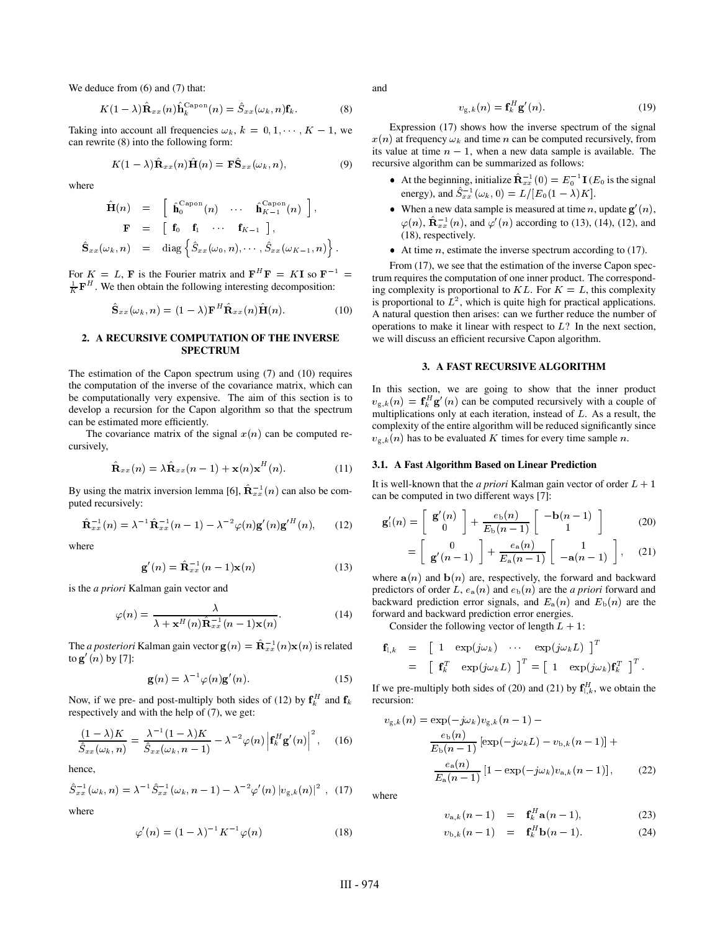We deduce from  $(6)$  and  $(7)$  that:

$$
K(1-\lambda)\hat{\mathbf{R}}_{xx}(n)\hat{\mathbf{h}}_k^{\text{Capon}}(n) = \hat{S}_{xx}(\omega_k, n)\mathbf{f}_k. \tag{8}
$$

Taking into account all frequencies  $\omega_k$ ,  $k = 0, 1, \dots, K - 1$ , we can rewrite (8) into the following form:

$$
K(1 - \lambda)\hat{\mathbf{R}}_{xx}(n)\hat{\mathbf{H}}(n) = \mathbf{F}\hat{\mathbf{S}}_{xx}(\omega_k, n), \tag{9}
$$

where

$$
\hat{\mathbf{H}}(n) = \begin{bmatrix} \hat{\mathbf{h}}_0^{\text{Capon}}(n) & \cdots & \hat{\mathbf{h}}_{K-1}^{\text{Capon}}(n) \end{bmatrix}, \n\mathbf{F} = \begin{bmatrix} \mathbf{f}_0 & \mathbf{f}_1 & \cdots & \mathbf{f}_{K-1} \end{bmatrix}, \n\hat{\mathbf{S}}_{xx}(\omega_k, n) = \text{diag} \left\{ \hat{S}_{xx}(\omega_0, n), \cdots, \hat{S}_{xx}(\omega_{K-1}, n) \right\}.
$$

For  $K = L$ , **F** is the Fourier matrix and  $F^H F = K I$  so  $F^{-1} =$  $\frac{1}{K} \mathbf{F}^H$ . We then obtain the following interesting decomposition:

$$
\hat{\mathbf{S}}_{xx}(\omega_k, n) = (1 - \lambda) \mathbf{F}^H \hat{\mathbf{R}}_{xx}(n) \hat{\mathbf{H}}(n).
$$
 (10)

#### **2. A RECURSIVE COMPUTATION OF THE INVERSE SPECTRUM**

The estimation of the Capon spectrum using (7) and (10) requires the computation of the inverse of the covariance matrix, which can be computationally very expensive. The aim of this section is to develop a recursion for the Capon algorithm so that the spectrum can be estimated more efficiently.

The covariance matrix of the signal  $x(n)$  can be computed recursively,

$$
\hat{\mathbf{R}}_{xx}(n) = \lambda \hat{\mathbf{R}}_{xx}(n-1) + \mathbf{x}(n)\mathbf{x}^{H}(n).
$$
 (11)

By using the matrix inversion lemma [6],  $\hat{\mathbf{R}}_{xx}^{-1}(n)$  can also be computed recursively:

$$
\hat{\mathbf{R}}_{xx}^{-1}(n) = \lambda^{-1} \hat{\mathbf{R}}_{xx}^{-1}(n-1) - \lambda^{-2} \varphi(n) \mathbf{g}'(n) \mathbf{g}'^{H}(n), \qquad (12)
$$

where

$$
\mathbf{g}'(n) = \hat{\mathbf{R}}_{xx}^{-1}(n-1)\mathbf{x}(n)
$$
 (13)

is the *a priori* Kalman gain vector and

$$
\varphi(n) = \frac{\lambda}{\lambda + \mathbf{x}^H(n)\hat{\mathbf{R}}_{xx}^{-1}(n-1)\mathbf{x}(n)}.
$$
 (14)

The *a posteriori* Kalman gain vector  $\mathbf{g}(n) = \mathbf{R}_{xx}^{-1}(n)\mathbf{x}(n)$  is related to  $\mathbf{g}'(n)$  by [7]:

$$
\mathbf{g}(n) = \lambda^{-1} \varphi(n) \mathbf{g}'(n). \tag{15}
$$

Now, if we pre- and post-multiply both sides of (12) by  $f_k^H$  and  $f_k$ respectively and with the help of (7), we get:

$$
\frac{(1-\lambda)K}{\hat{S}_{xx}(\omega_k,n)} = \frac{\lambda^{-1}(1-\lambda)K}{\hat{S}_{xx}(\omega_k,n-1)} - \lambda^{-2}\varphi(n)\left|\mathbf{f}_k^H\mathbf{g}'(n)\right|^2, \quad (16)
$$

hence,

$$
\hat{S}_{xx}^{-1}(\omega_k, n) = \lambda^{-1} \hat{S}_{xx}^{-1}(\omega_k, n-1) - \lambda^{-2} \varphi'(n) |v_{\mathbf{g},k}(n)|^2 , \quad (17)
$$

where

$$
\varphi'(n) = (1 - \lambda)^{-1} K^{-1} \varphi(n)
$$
 (18)

and

$$
v_{\mathbf{g},k}(n) = \mathbf{f}_k^H \mathbf{g}'(n). \tag{19}
$$

Expression (17) shows how the inverse spectrum of the signal  $x(n)$  at frequency  $\omega_k$  and time n can be computed recursively, from its value at time  $n - 1$ , when a new data sample is available. The recursive algorithm can be summarized as follows:

- At the beginning, initialize  $\mathbf{R}_{xx}^{-1}(0) = E_0^{-1} \mathbf{I}$  ( $E_0$  is the signal energy), and  $\hat{S}_{xx}^{-1}(\omega_k, 0) = L/[E_0(1 - \lambda)K]$ .
- When a new data sample is measured at time n, update  $g'(n)$ ,  $\varphi(n)$ ,  $\mathbf{R}_{xx}^{-1}(n)$ , and  $\varphi'(n)$  according to (13), (14), (12), and (18), respectively.
- $\bullet$  At time *n*, estimate the inverse spectrum according to (17).

From (17), we see that the estimation of the inverse Capon spectrum requires the computation of one inner product. The corresponding complexity is proportional to  $KL$ . For  $K = L$ , this complexity is proportional to  $L^2$ , which is quite high for practical applications. A natural question then arises: can we further reduce the number of operations to make it linear with respect to  $L$ ? In the next section, we will discuss an efficient recursive Capon algorithm.

### **3. A FAST RECURSIVE ALGORITHM**

In this section, we are going to show that the inner product  $v_{g,k}(n) = \mathbf{f}_k^H \mathbf{g}'(n)$  can be computed recursively with a couple of multiplications only at each iteration, instead of  $L$ . As a result, the complexity of the entire algorithm will be reduced significantly since  $v_{g,k}(n)$  has to be evaluated K times for every time sample n.

#### **3.1. A Fast Algorithm Based on Linear Prediction**

It is well-known that the *a priori* Kalman gain vector of order  $L + 1$ can be computed in two different ways [7]:

$$
\mathbf{g}'_1(n) = \begin{bmatrix} \mathbf{g}'(n) \\ 0 \end{bmatrix} + \frac{e_b(n)}{E_b(n-1)} \begin{bmatrix} -\mathbf{b}(n-1) \\ 1 \end{bmatrix}
$$
 (20)

$$
= \left[ \begin{array}{c} 0 \\ \mathbf{g}'(n-1) \end{array} \right] + \frac{e_{\mathbf{a}}(n)}{E_{\mathbf{a}}(n-1)} \left[ \begin{array}{c} 1 \\ -\mathbf{a}(n-1) \end{array} \right], \quad (21)
$$

where  $a(n)$  and  $b(n)$  are, respectively, the forward and backward predictors of order L,  $e_a(n)$  and  $e_b(n)$  are the *a priori* forward and backward prediction error signals, and  $E_a(n)$  and  $E_b(n)$  are the forward and backward prediction error energies.

Consider the following vector of length  $L + 1$ :

$$
\begin{array}{rcl}\n\mathbf{f}_{1,k} & = & \left[ \begin{array}{cc} 1 & \exp(j\omega_k) & \cdots & \exp(j\omega_k L) \end{array} \right]^T \\
& = & \left[ \begin{array}{cc} \mathbf{f}_k^T & \exp(j\omega_k L) \end{array} \right]^T = \left[ \begin{array}{cc} 1 & \exp(j\omega_k) \mathbf{f}_k^T \end{array} \right]^T.\n\end{array}
$$

If we pre-multiply both sides of (20) and (21) by  $f_{\parallel k}^H$ , we obtain the recursion:

$$
v_{g,k}(n) = \exp(-j\omega_k)v_{g,k}(n-1) -
$$
  
\n
$$
\frac{e_b(n)}{E_b(n-1)} [\exp(-j\omega_k L) - v_{b,k}(n-1)] +
$$
  
\n
$$
\frac{e_a(n)}{E_a(n-1)} [1 - \exp(-j\omega_k)v_{a,k}(n-1)],
$$
\n(22)

where

$$
v_{a,k}(n-1) = \mathbf{f}_k^H \mathbf{a}(n-1), \tag{23}
$$

$$
v_{\mathrm{b},k}(n-1) = \mathbf{f}_k^H \mathbf{b}(n-1). \tag{24}
$$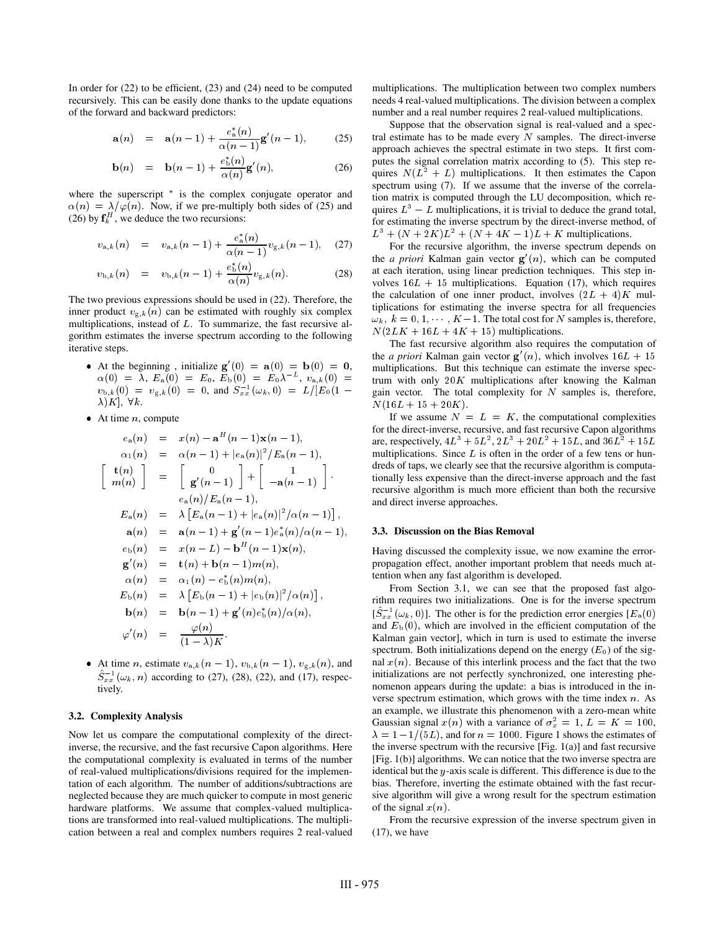In order for  $(22)$  to be efficient,  $(23)$  and  $(24)$  need to be computed recursively. This can be easily done thanks to the update equations of the forward and backward predictors:

$$
\mathbf{a}(n) = \mathbf{a}(n-1) + \frac{e_n^*(n)}{\alpha(n-1)} \mathbf{g}'(n-1), \quad (25)
$$

$$
\mathbf{b}(n) = \mathbf{b}(n-1) + \frac{e_b^*(n)}{\alpha(n)} \mathbf{g}'(n), \qquad (26)
$$

where the superscript  $*$  is the complex conjugate operator and  $\alpha(n) = \lambda/\varphi(n)$ . Now, if we pre-multiply both sides of (25) and (26) by  $f_k^H$ , we deduce the two recursions:

$$
v_{a,k}(n) = v_{a,k}(n-1) + \frac{e_a^*(n)}{\alpha(n-1)} v_{g,k}(n-1), \quad (27)
$$

$$
v_{\mathrm{b},k}(n) = v_{\mathrm{b},k}(n-1) + \frac{e_{\mathrm{b}}^{*}(n)}{\alpha(n)} v_{\mathrm{g},k}(n). \tag{28}
$$

The two previous expressions should be used in (22). Therefore, the inner product  $v_{g,k}(n)$  can be estimated with roughly six complex multiplications, instead of L. To summarize, the fast recursive algorithm estimates the inverse spectrum according to the following iterative steps.

- At the beginning, initialize  $\mathbf{g}'(0) = \mathbf{a}(0) = \mathbf{b}(0) = 0$ ,  $\alpha(0) \; = \; \lambda, \; E_{\rm a}(0) \; = \; E_0, \; E_{\rm b}(0) \; = \; E_0 \lambda^{-L}, \; v_{{\rm a},k}(0) \; = \; .$  $v_{\text{b},k}(0) = v_{\text{g},k}(0) = 0$ , and  $S_{xx}^{-1}(\omega_k, 0) = L/[E_0(1 \lambda[K],\ \forall k.$
- $\bullet$  At time *n*, compute

$$
e_{a}(n) = x(n) - a^{H}(n-1)x(n-1),
$$
\n
$$
\alpha_{1}(n) = \alpha(n-1) + |e_{a}(n)|^{2}/E_{a}(n-1),
$$
\n
$$
\begin{bmatrix}\n\mathbf{t}(n) \\
m(n)\n\end{bmatrix} = \begin{bmatrix}\n0 \\
\mathbf{g}'(n-1)\n\end{bmatrix} + \begin{bmatrix}\n1 \\
-a(n-1)\n\end{bmatrix}.
$$
\n
$$
E_{a}(n) = \lambda [E_{a}(n-1) + |e_{a}(n)|^{2}/\alpha(n-1)],
$$
\n
$$
a(n) = a(n-1) + \mathbf{g}'(n-1)e_{a}^{*}(n)/\alpha(n-1),
$$
\n
$$
e_{b}(n) = x(n-L) - b^{H}(n-1)x(n),
$$
\n
$$
g'(n) = \mathbf{t}(n) + \mathbf{b}(n-1)m(n),
$$
\n
$$
\alpha(n) = \alpha_{1}(n) - e_{b}^{*}(n)m(n),
$$
\n
$$
E_{b}(n) = \lambda [E_{b}(n-1) + |e_{b}(n)|^{2}/\alpha(n)],
$$
\n
$$
\mathbf{t}(n) = \mathbf{b}(n-1) + \mathbf{g}'(n)e_{b}^{*}(n)/\alpha(n),
$$
\n
$$
\mu_{b}(n) = \mu_{b}(n-1) + \mathbf{g}'(n)e_{b}^{*}(n)/\alpha(n),
$$
\n
$$
\mu_{b}(n) = \frac{\varphi(n)}{(1-\lambda)K}.
$$
\n
$$
E_{b}(n) = \mathbf{h}_{b}(n) = \mathbf{h}_{b}(n) = \mathbf{h}_{b}(n) = \mathbf{h}_{b}(n) = \mathbf{h}_{b}(n) = \mathbf{h}_{b}(n) = \mathbf{h}_{b}(n) = \mathbf{h}_{b}(n) = \mathbf{h}_{b}(n) = \mathbf{h}_{b}(n) = \mathbf{h}_{b}(n) = \mathbf{h}_{b}(n) = \mathbf{h}_{b}(n) = \mathbf{h}_{b}(n) = \mathbf{h}_{b}(n) = \mathbf{h}_{b}(n) = \mathbf{h}_{b}(n) = \mathbf{h}_{b}(n) = \mathbf{h}_{b}(n) = \mathbf{h}_{b}(n) = \mathbf{h}_{b}(
$$

• At time *n*, estimate  $v_{a,k}(n-1)$ ,  $v_{b,k}(n-1)$ ,  $v_{g,k}(n)$ , and  $S_{xx}^{-1}(\omega_k, n)$  according to (27), (28), (22), and (17), respectively.

## **3.2. Complexity Analysis**

Now let us compare the computational complexity of the directinverse, the recursive, and the fast recursive Capon algorithms. Here the computational complexity is evaluated in terms of the number of real-valued multiplications/divisions required for the implementation of each algorithm. The number of additions/subtractions are neglected because they are much quicker to compute in most generic hardware platforms. We assume that complex-valued multiplications are transformed into real-valued multiplications. The multiplication between a real and complex numbers requires 2 real-valued multiplications. The multiplication between two complex numbers needs 4 real-valued multiplications. The division between a complex number and a real number requires 2 real-valued multiplications.

Suppose that the observation signal is real-valued and a spectral estimate has to be made every  $N$  samples. The direct-inverse approach achieves the spectral estimate in two steps. It first computes the signal correlation matrix according to (5). This step requires  $N(L^2 + L)$  multiplications. It then estimates the Capon spectrum using (7). If we assume that the inverse of the correlation matrix is computed through the LU decomposition, which requires  $L^3 - L$  multiplications, it is trivial to deduce the grand total, for estimating the inverse spectrum by the direct-inverse method, of  $L^3 + (N + 2K)L^2 + (N + 4K - 1)L + K$  multiplications.

For the recursive algorithm, the inverse spectrum depends on the *a priori* Kalman gain vector  $\mathbf{g}'(n)$ , which can be computed at each iteration, using linear prediction techniques. This step involves  $16L + 15$  multiplications. Equation (17), which requires the calculation of one inner product, involves  $(2L + 4)K$  multiplications for estimating the inverse spectra for all frequencies  $\omega_k$ ,  $k = 0, 1, \dots, K-1$ . The total cost for N samples is, therefore,  $N(2LK + 16L + 4K + 15)$  multiplications.

 $= 0$ , multiplications. But this technique can estimate the inverse spec- $=$  trum with only 20K multiplications after knowing the Kalman  $\int |E_0(1 - \mathbf{g}|\mathbf{g})| \text{ vector.}$  The total complexity for N samples is, therefore, The fast recursive algorithm also requires the computation of the *a priori* Kalman gain vector  $g'(n)$ , which involves  $16L + 15$  $N(16L + 15 + 20K)$ .

> dreds of taps, we clearly see that the recursive algorithm is computa-If we assume  $N = L = K$ , the computational complexities for the direct-inverse, recursive, and fast recursive Capon algorithms are, respectively,  $4L^3 + 5L^2$ ,  $2L^3 + 20L^2 + 15L$ , and  $36L^2 + 15L$ multiplications. Since  $L$  is often in the order of a few tens or huntionally less expensive than the direct-inverse approach and the fast recursive algorithm is much more efficient than both the recursive and direct inverse approaches.

#### $\alpha(n-1)$ , **3.3. Discussion on the Bias Removal**

Having discussed the complexity issue, we now examine the errorpropagation effect, another important problem that needs much attention when any fast algorithm is developed.

From Section 3.1, we can see that the proposed fast algorithm requires two initializations. One is for the inverse spectrum  $[\tilde{S}_{xx}^{-1}(\omega_k, 0)]$ . The other is for the prediction error energies  $[E_{a}(0)]$ and  $E_{\rm b}(0)$ , which are involved in the efficient computation of the Kalman gain vector], which in turn is used to estimate the inverse spectrum. Both initializations depend on the energy  $(E_0)$  of the signal  $x(n)$ . Because of this interlink process and the fact that the two initializations are not perfectly synchronized, one interesting phenomenon appears during the update: a bias is introduced in the inverse spectrum estimation, which grows with the time index  $n$ . As an example, we illustrate this phenomenon with a zero-mean white Gaussian signal  $x(n)$  with a variance of  $\sigma_x^2 = 1$ ,  $L = K = 100$ ,  $\lambda = 1 - 1/(5L)$ , and for  $n = 1000$ . Figure 1 shows the estimates of the inverse spectrum with the recursive [Fig.  $1(a)$ ] and fast recursive [Fig. 1(b)] algorithms. We can notice that the two inverse spectra are identical but the  $y$ -axis scale is different. This difference is due to the bias. Therefore, inverting the estimate obtained with the fast recursive algorithm will give a wrong result for the spectrum estimation of the signal  $x(n)$ .

From the recursive expression of the inverse spectrum given in  $(17)$ , we have